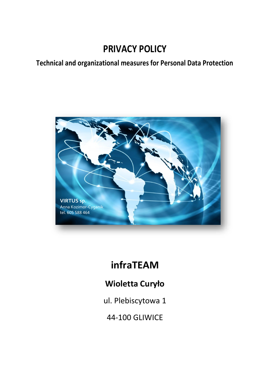# **PRIVACY POLICY**

# **Technical and organizational measures for Personal Data Protection**



# **infraTEAM**

# **Wioletta Curyło**

ul. Plebiscytowa 1

44-100 GLIWICE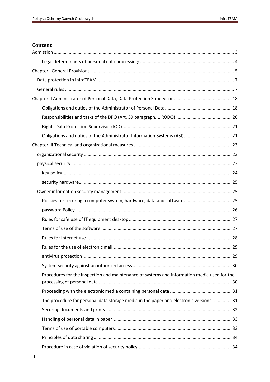# Content

| Procedures for the inspection and maintenance of systems and information media used for the |  |
|---------------------------------------------------------------------------------------------|--|
|                                                                                             |  |
| The procedure for personal data storage media in the paper and electronic versions:  31     |  |
|                                                                                             |  |
|                                                                                             |  |
|                                                                                             |  |
|                                                                                             |  |
|                                                                                             |  |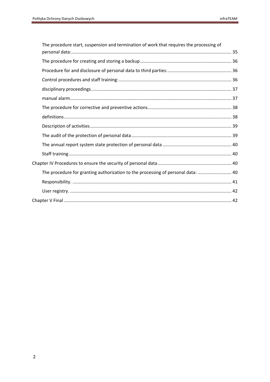<span id="page-2-0"></span>

| The procedure start, suspension and termination of work that requires the processing of |  |
|-----------------------------------------------------------------------------------------|--|
|                                                                                         |  |
|                                                                                         |  |
|                                                                                         |  |
|                                                                                         |  |
|                                                                                         |  |
|                                                                                         |  |
|                                                                                         |  |
|                                                                                         |  |
|                                                                                         |  |
|                                                                                         |  |
|                                                                                         |  |
|                                                                                         |  |
|                                                                                         |  |
| The procedure for granting authorization to the processing of personal data:  40        |  |
|                                                                                         |  |
|                                                                                         |  |
|                                                                                         |  |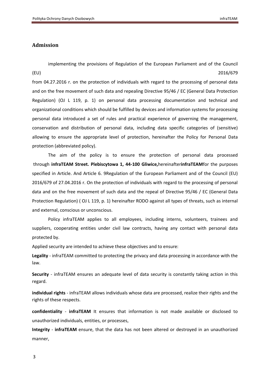# **Admission**

implementing the provisions of Regulation of the European Parliament and of the Council (EU) 2016/679

from 04.27.2016 r. on the protection of individuals with regard to the processing of personal data and on the free movement of such data and repealing Directive 95/46 / EC (General Data Protection Regulation) (OJ L 119, p. 1) on personal data processing documentation and technical and organizational conditions which should be fulfilled by devices and information systems for processing personal data introduced a set of rules and practical experience of governing the management, conservation and distribution of personal data, including data specific categories of (sensitive) allowing to ensure the appropriate level of protection, hereinafter the Policy for Personal Data protection (abbreviated policy).

The aim of the policy is to ensure the protection of personal data processed through **infraTEAM Street. Plebiscytowa 1, 44-100 Gliwice,**hereinafter**infraTEAM**for the purposes specified in Article. And Article 6. 9Regulation of the European Parliament and of the Council (EU) 2016/679 of 27.04.2016 r. On the protection of individuals with regard to the processing of personal data and on the free movement of such data and the repeal of Directive 95/46 / EC (General Data Protection Regulation) ( OJ L 119, p. 1) hereinafter RODO against all types of threats, such as internal and external, conscious or unconscious.

Policy infraTEAM applies to all employees, including interns, volunteers, trainees and suppliers, cooperating entities under civil law contracts, having any contact with personal data protected by.

Applied security are intended to achieve these objectives and to ensure:

**Legality** - infraTEAM committed to protecting the privacy and data processing in accordance with the law.

**Security** - infraTEAM ensures an adequate level of data security is constantly taking action in this regard.

**individual rights** - infraTEAM allows individuals whose data are processed, realize their rights and the rights of these respects.

**confidentiality** - **infraTEAM** It ensures that information is not made available or disclosed to unauthorized individuals, entities, or processes,

**Integrity** - **infraTEAM** ensure, that the data has not been altered or destroyed in an unauthorized manner,

3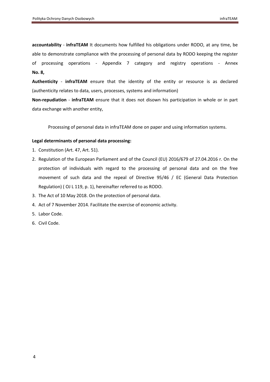**accountability** - **infraTEAM** It documents how fulfilled his obligations under RODO, at any time, be able to demonstrate compliance with the processing of personal data by RODO keeping the register of processing operations - Appendix 7 category and registry operations - Annex **No. 8,**

**Authenticity** - **infraTEAM** ensure that the identity of the entity or resource is as declared (authenticity relates to data, users, processes, systems and information)

**Non-repudiation** - **infraTEAM** ensure that it does not disown his participation in whole or in part data exchange with another entity,

Processing of personal data in infraTEAM done on paper and using information systems.

### <span id="page-4-0"></span>**Legal determinants of personal data processing:**

- 1. Constitution (Art. 47, Art. 51).
- 2. Regulation of the European Parliament and of the Council (EU) 2016/679 of 27.04.2016 r. On the protection of individuals with regard to the processing of personal data and on the free movement of such data and the repeal of Directive 95/46 / EC (General Data Protection Regulation) ( OJ L 119, p. 1), hereinafter referred to as RODO.
- 3. The Act of 10 May 2018. On the protection of personal data.
- 4. Act of 7 November 2014. Facilitate the exercise of economic activity.
- 5. Labor Code.
- 6. Civil Code.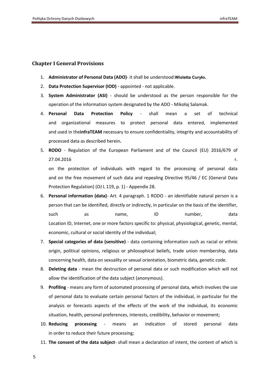### <span id="page-5-0"></span>**Chapter I General Provisions**

- 1. **Administrator of Personal Data (ADO)** it shall be understood:**Wioletta Curyło.**
- 2. **Data Protection Supervisor (IOD)** appointed not applicable.
- 3. **System Administrator (ASI)** should be understood as the person responsible for the operation of the information system designated by the ADO - Mikołaj Salamak.
- 4. **Personal Data Protection Policy** shall mean a set of technical and organizational measures to protect personal data entered, implemented and used in the**infraTEAM** necessary to ensure confidentiality, integrity and accountability of processed data as described herein**.**
- 5. **RODO** Regulation of the European Parliament and of the Council (EU) 2016/679 of 27.04.2016 r.

on the protection of individuals with regard to the processing of personal data and on the free movement of such data and repealing Directive 95/46 / EC (General Data Protection Regulation) (OJ L 119, p. 1) - Appendix 28.

- 6. **Personal information (data)** Art. 4 paragraph. 1 RODO an identifiable natural person is a person that can be identified, directly or indirectly, in particular on the basis of the identifier, such as name, ID number, data Location ID, Internet, one or more factors specific to: physical, physiological, genetic, mental, economic, cultural or social identity of the individual;
- 7. **Special categories of data (sensitive)**  data containing information such as racial or ethnic origin, political opinions, religious or philosophical beliefs, trade union membership, data concerning health, data on sexuality or sexual orientation, biometric data, genetic code.
- 8. **Deleting data** mean the destruction of personal data or such modification which will not allow the identification of the data subject (anonymous).
- 9. **Profiling** means any form of automated processing of personal data, which involves the use of personal data to evaluate certain personal factors of the individual, in particular for the analysis or forecasts aspects of the effects of the work of the individual, its economic situation, health, personal preferences, interests, credibility, behavior or movement;
- 10. **Reducing processing** means an indication of stored personal data in order to reduce their future processing;
- 11. **The consent of the data subject** shall mean a declaration of intent, the content of which is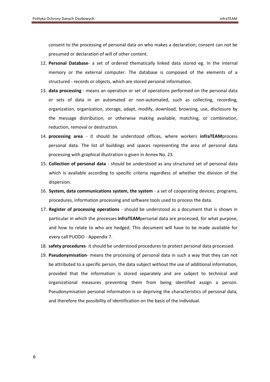<span id="page-6-0"></span>consent to the processing of personal data on who makes a declaration; consent can not be presumed or declaration of will of other content.

- 12. **Personal Database** a set of ordered thematically linked data stored eg. In the internal memory or the external computer. The database is composed of the elements of a structured - records or objects, which are stored personal information.
- 13. **data processing** means an operation or set of operations performed on the personal data or sets of data in an automated or non-automated, such as collecting, recording, organization, organization, storage, adapt, modify, download, browsing, use, disclosure by the message distribution, or otherwise making available, matching, or combination, reduction, removal or destruction.
- 14. **processing area** it should be understood offices, where workers **infraTEAM**process personal data. The list of buildings and spaces representing the area of personal data processing with graphical illustration is given in Annex No. 23.
- 15. **Collection of personal data** should be understood as any structured set of personal data which is available according to specific criteria regardless of whether the division of the dispersion.
- 16. **System, data communications system, the system** a set of cooperating devices, programs, procedures, information processing and software tools used to process the data.
- 17. **Register of processing operations** should be understood as a document that is shown in particular in which the processes **infraTEAM**personal data are processed, for what purpose, and how to relate to who are hedged. This document will have to be made available for every call PUODO - Appendix 7.
- 18. **safety procedures** it should be understood procedures to protect personal data processed.
- 19. **Pseudonymisation** means the processing of personal data in such a way that they can not be attributed to a specific person, the data subject without the use of additional information, provided that the information is stored separately and are subject to technical and organizational measures preventing them from being identified assign a person. Pseudonymisation personal information is so depriving the characteristics of personal data, and therefore the possibility of identification on the basis of the individual.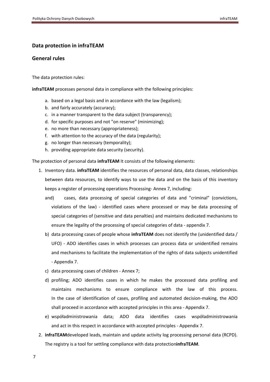# **Data protection in infraTEAM**

# <span id="page-7-0"></span>**General rules**

The data protection rules:

**infraTEAM** processes personal data in compliance with the following principles:

- a. based on a legal basis and in accordance with the law (legalism);
- b. and fairly accurately (accuracy);
- c. in a manner transparent to the data subject (transparency);
- d. for specific purposes and not "on reserve" (minimizing);
- e. no more than necessary (appropriateness);
- f. with attention to the accuracy of the data (regularity);
- g. no longer than necessary (temporality);
- h. providing appropriate data security (security).

The protection of personal data **infraTEAM** It consists of the following elements:

- 1. Inventory data. **infraTEAM** identifies the resources of personal data, data classes, relationships between data resources, to identify ways to use the data and on the basis of this inventory keeps a register of processing operations Processing- Annex 7, including:
	- and) cases, data processing of special categories of data and "criminal" (convictions, violations of the law) - identified cases where processed or may be data processing of special categories of (sensitive and data penalties) and maintains dedicated mechanisms to ensure the legality of the processing of special categories of data - appendix 7.
	- b) data processing cases of people whose **infraTEAM** does not identify the (unidentified data / UFO) - ADO identifies cases in which processes can process data or unidentified remains and mechanisms to facilitate the implementation of the rights of data subjects unidentified - Appendix 7.
	- c) data processing cases of children Annex 7;
	- d) profiling; ADO identifies cases in which he makes the processed data profiling and maintains mechanisms to ensure compliance with the law of this process. In the case of identification of cases, profiling and automated decision-making, the ADO shall proceed in accordance with accepted principles in this area - Appendix 7.
	- e) współadministrowania data; ADO data identifies cases współadministrowania and act in this respect in accordance with accepted principles - Appendix 7.
- 2. **infraTEAM**developed leads, maintain and update activity log processing personal data (RCPD). The registry is a tool for settling compliance with data protection**infraTEAM**.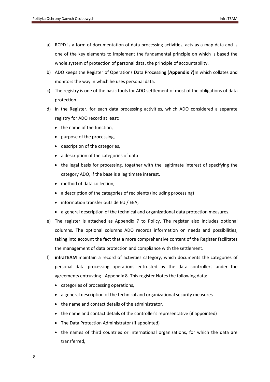- a) RCPD is a form of documentation of data processing activities, acts as a map data and is one of the key elements to implement the fundamental principle on which is based the whole system of protection of personal data, the principle of accountability.
- b) ADO keeps the Register of Operations Data Processing (**Appendix 7)**In which collates and monitors the way in which he uses personal data.
- c) The registry is one of the basic tools for ADO settlement of most of the obligations of data protection.
- d) In the Register, for each data processing activities, which ADO considered a separate registry for ADO record at least:
	- the name of the function,
	- purpose of the processing,
	- description of the categories,
	- a description of the categories of data
	- the legal basis for processing, together with the legitimate interest of specifying the category ADO, if the base is a legitimate interest,
	- method of data collection,
	- a description of the categories of recipients (including processing)
	- information transfer outside EU / EEA;
	- a general description of the technical and organizational data protection measures.
- e) The register is attached as Appendix 7 to Policy. The register also includes optional columns. The optional columns ADO records information on needs and possibilities, taking into account the fact that a more comprehensive content of the Register facilitates the management of data protection and compliance with the settlement.
- f) **infraTEAM** maintain a record of activities category, which documents the categories of personal data processing operations entrusted by the data controllers under the agreements entrusting - Appendix 8. This register Notes the following data:
	- categories of processing operations,
	- a general description of the technical and organizational security measures
	- the name and contact details of the administrator,
	- the name and contact details of the controller's representative (if appointed)
	- The Data Protection Administrator (if appointed)
	- the names of third countries or international organizations, for which the data are transferred,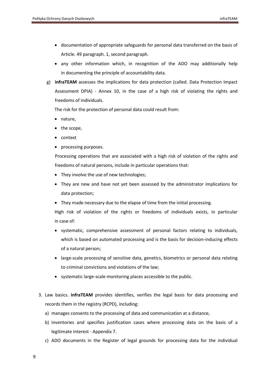- documentation of appropriate safeguards for personal data transferred on the basis of Article. 49 paragraph. 1, second paragraph.
- any other information which, in recognition of the ADO may additionally help in documenting the principle of accountability data.
- g) **infraTEAM** assesses the implications for data protection (called. Data Protection Impact Assessment DPIA) - Annex 10, in the case of a high risk of violating the rights and freedoms of individuals.

The risk for the protection of personal data could result from:

- nature,
- the scope,
- context
- processing purposes.

Processing operations that are associated with a high risk of violation of the rights and freedoms of natural persons, include in particular operations that:

- They involve the use of new technologies;
- They are new and have not yet been assessed by the administrator implications for data protection;
- They made necessary due to the elapse of time from the initial processing.

High risk of violation of the rights or freedoms of individuals exists, in particular in case of:

- systematic, comprehensive assessment of personal factors relating to individuals, which is based on automated processing and is the basis for decision-inducing effects of a natural person;
- large-scale processing of sensitive data, genetics, biometrics or personal data relating to criminal convictions and violations of the law;
- systematic large-scale monitoring places accessible to the public.
- 3. Law basics. **infraTEAM** provides identifies, verifies the legal basis for data processing and records them in the registry (RCPD), including:
	- a) manages consents to the processing of data and communication at a distance,
	- b) inventories and specifies justification cases where processing data on the basis of a legitimate interest - Appendix 7.
	- c) ADO documents in the Register of legal grounds for processing data for the individual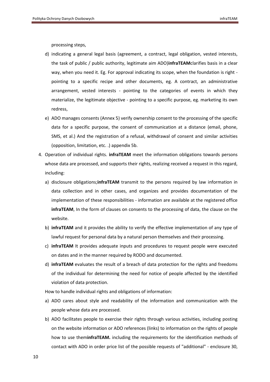processing steps,

- d) indicating a general legal basis (agreement, a contract, legal obligation, vested interests, the task of public / public authority, legitimate aim ADO)**infraTEAM**clarifies basis in a clear way, when you need it. Eg. For approval indicating its scope, when the foundation is right pointing to a specific recipe and other documents, eg. A contract, an administrative arrangement, vested interests - pointing to the categories of events in which they materialize, the legitimate objective - pointing to a specific purpose, eg. marketing its own redress,
- e) ADO manages consents (Annex 5) verify ownership consent to the processing of the specific data for a specific purpose, the consent of communication at a distance (email, phone, SMS, et al.) And the registration of a refusal, withdrawal of consent and similar activities (opposition, limitation, etc. .) appendix 5b.
- 4. Operation of individual rights. **infraTEAM** meet the information obligations towards persons whose data are processed, and supports their rights, realizing received a request in this regard, including:
	- a) disclosure obligations;**infraTEAM** transmit to the persons required by law information in data collection and in other cases, and organizes and provides documentation of the implementation of these responsibilities - information are available at the registered office **infraTEAM**, In the form of clauses on consents to the processing of data, the clause on the website.
	- b) **infraTEAM** and it provides the ability to verify the effective implementation of any type of lawful request for personal data by a natural person themselves and their processing.
	- c) **infraTEAM** It provides adequate inputs and procedures to request people were executed on dates and in the manner required by RODO and documented.
	- d) **infraTEAM** evaluates the result of a breach of data protection for the rights and freedoms of the individual for determining the need for notice of people affected by the identified violation of data protection.

How to handle individual rights and obligations of information:

- a) ADO cares about style and readability of the information and communication with the people whose data are processed.
- b) ADO facilitates people to exercise their rights through various activities, including posting on the website information or ADO references (links) to information on the rights of people how to use them**infraTEAM.** including the requirements for the identification methods of contact with ADO in order price list of the possible requests of "additional" - enclosure 30,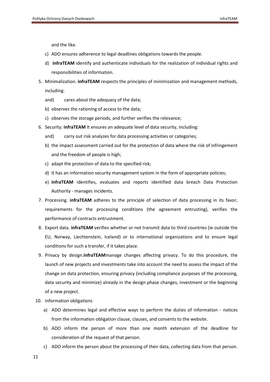and the like.

- c) ADO ensures adherence to legal deadlines obligations towards the people.
- d) **infraTEAM** identify and authenticate individuals for the realization of individual rights and responsibilities of information.
- 5. Minimalization. **infraTEAM** respects the principles of minimization and management methods, including:
	- and) cares about the adequacy of the data;
	- b) observes the rationing of access to the data;
	- c) observes the storage periods, and further verifies the relevance;
- 6. Security. **infraTEAM** It ensures an adequate level of data security, including:
	- and) carry out risk analyzes for data processing activities or categories;
	- b) the impact assessment carried out for the protection of data where the risk of infringement and the freedom of people is high;
	- c) adapt the protection of data to the specified risk;
	- d) It has an information security management system in the form of appropriate policies;
	- e) **infraTEAM** identifies, evaluates and reports identified data breach Data Protection Authority - manages incidents.
- 7. Processing. **infraTEAM** adheres to the principle of selection of data processing in its favor, requirements for the processing conditions (the agreement entrusting), verifies the performance of contracts entrustment.
- 8. Export data. **infraTEAM** verifies whether or not transmit data to third countries (ie outside the EU, Norway, Liechtenstein, Iceland) or to international organizations and to ensure legal conditions for such a transfer, if it takes place.
- 9. Privacy by design.**infraTEAM**manage changes affecting privacy. To do this procedure, the launch of new projects and investments take into account the need to assess the impact of the change on data protection, ensuring privacy (including compliance purposes of the processing, data security and minimize) already in the design phase changes, investment or the beginning of a new project.
- 10. information obligations
	- a) ADO determines legal and effective ways to perform the duties of information notices from the information obligation clause, clauses, and consents to the website.
	- b) ADO inform the person of more than one month extension of the deadline for consideration of the request of that person.
	- c) ADO inform the person about the processing of their data, collecting data from that person.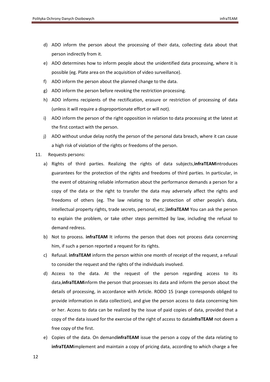- d) ADO inform the person about the processing of their data, collecting data about that person indirectly from it.
- e) ADO determines how to inform people about the unidentified data processing, where it is possible (eg. Plate area on the acquisition of video surveillance).
- f) ADO inform the person about the planned change to the data.
- g) ADO inform the person before revoking the restriction processing.
- h) ADO informs recipients of the rectification, erasure or restriction of processing of data (unless it will require a disproportionate effort or will not).
- i) ADO inform the person of the right opposition in relation to data processing at the latest at the first contact with the person.
- j) ADO without undue delay notify the person of the personal data breach, where it can cause a high risk of violation of the rights or freedoms of the person.
- 11. Requests persons:
	- a) Rights of third parties. Realizing the rights of data subjects,**infraTEAM**introduces guarantees for the protection of the rights and freedoms of third parties. In particular, in the event of obtaining reliable information about the performance demands a person for a copy of the data or the right to transfer the data may adversely affect the rights and freedoms of others (eg. The law relating to the protection of other people's data, intellectual property rights, trade secrets, personal, etc.)**infraTEAM** You can ask the person to explain the problem, or take other steps permitted by law, including the refusal to demand redress.
	- b) Not to process. **infraTEAM** It informs the person that does not process data concerning him, if such a person reported a request for its rights.
	- c) Refusal. **infraTEAM** inform the person within one month of receipt of the request, a refusal to consider the request and the rights of the individuals involved.
	- d) Access to the data. At the request of the person regarding access to its data,**infraTEAM**inform the person that processes its data and inform the person about the details of processing, in accordance with Article. RODO 15 (range corresponds obliged to provide information in data collection), and give the person access to data concerning him or her. Access to data can be realized by the issue of paid copies of data, provided that a copy of the data issued for the exercise of the right of access to data**infraTEAM** not deem a free copy of the first.
	- e) Copies of the data. On demand**infraTEAM** issue the person a copy of the data relating to **infraTEAM**implement and maintain a copy of pricing data, according to which charge a fee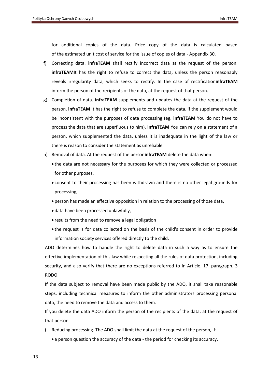for additional copies of the data. Price copy of the data is calculated based of the estimated unit cost of service for the issue of copies of data - Appendix 30.

- f) Correcting data. **infraTEAM** shall rectify incorrect data at the request of the person. **infraTEAMIt** has the right to refuse to correct the data, unless the person reasonably reveals irregularity data, which seeks to rectify. In the case of rectification**infraTEAM** inform the person of the recipients of the data, at the request of that person.
- g) Completion of data. **infraTEAM** supplements and updates the data at the request of the person. **infraTEAM** It has the right to refuse to complete the data, if the supplement would be inconsistent with the purposes of data processing (eg. **infraTEAM** You do not have to process the data that are superfluous to him). **infraTEAM** You can rely on a statement of a person, which supplemented the data, unless it is inadequate in the light of the law or there is reason to consider the statement as unreliable.
- h) Removal of data. At the request of the person**infraTEAM** delete the data when:
	- the data are not necessary for the purposes for which they were collected or processed for other purposes,
	- consent to their processing has been withdrawn and there is no other legal grounds for processing,
	- person has made an effective opposition in relation to the processing of those data,
	- data have been processed unlawfully,
	- results from the need to remove a legal obligation
	- the request is for data collected on the basis of the child's consent in order to provide information society services offered directly to the child.

ADO determines how to handle the right to delete data in such a way as to ensure the effective implementation of this law while respecting all the rules of data protection, including security, and also verify that there are no exceptions referred to in Article. 17. paragraph. 3 RODO.

If the data subject to removal have been made public by the ADO, it shall take reasonable steps, including technical measures to inform the other administrators processing personal data, the need to remove the data and access to them.

If you delete the data ADO inform the person of the recipients of the data, at the request of that person.

- i) Reducing processing. The ADO shall limit the data at the request of the person, if:
	- a person question the accuracy of the data the period for checking its accuracy,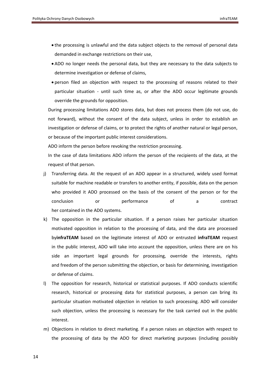- the processing is unlawful and the data subject objects to the removal of personal data demanded in exchange restrictions on their use,
- ADO no longer needs the personal data, but they are necessary to the data subjects to determine investigation or defense of claims,
- person filed an objection with respect to the processing of reasons related to their particular situation - until such time as, or after the ADO occur legitimate grounds override the grounds for opposition.

During processing limitations ADO stores data, but does not process them (do not use, do not forward), without the consent of the data subject, unless in order to establish an investigation or defense of claims, or to protect the rights of another natural or legal person, or because of the important public interest considerations.

ADO inform the person before revoking the restriction processing.

In the case of data limitations ADO inform the person of the recipients of the data, at the request of that person.

- j) Transferring data. At the request of an ADO appear in a structured, widely used format suitable for machine readable or transfers to another entity, if possible, data on the person who provided it ADO processed on the basis of the consent of the person or for the conclusion or performance of a contract her contained in the ADO systems.
- k) The opposition in the particular situation. If a person raises her particular situation motivated opposition in relation to the processing of data, and the data are processed by**infraTEAM** based on the legitimate interest of ADO or entrusted **infraTEAM** request in the public interest, ADO will take into account the opposition, unless there are on his side an important legal grounds for processing, override the interests, rights and freedom of the person submitting the objection, or basis for determining, investigation or defense of claims.
- l) The opposition for research, historical or statistical purposes. If ADO conducts scientific research, historical or processing data for statistical purposes, a person can bring its particular situation motivated objection in relation to such processing. ADO will consider such objection, unless the processing is necessary for the task carried out in the public interest.
- m) Objections in relation to direct marketing. If a person raises an objection with respect to the processing of data by the ADO for direct marketing purposes (including possibly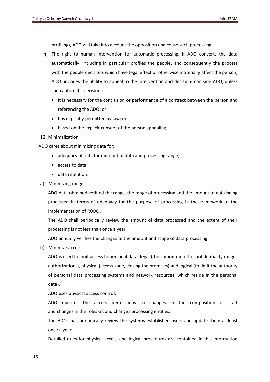profiling), ADO will take into account the opposition and cease such processing.

- n) The right to human intervention for automatic processing. If ADO converts the data automatically, including in particular profiles the people, and consequently the process with the people decisions which have legal effect or otherwise materially affect the person, ADO provides the ability to appeal to the intervention and decision-man side ADO, unless such automatic decision :
	- It is necessary for the conclusion or performance of a contract between the person and referencing the ADO; or:
	- It is explicitly permitted by law; or:
	- based on the explicit consent of the person appealing.
- 12. Minimalization:

ADO cares about minimizing data for:

- adequacy of data for (amount of data and processing range)
- access to data,
- data retention.
- a) Minimizing range

ADO data obtained verified the range, the range of processing and the amount of data being processed in terms of adequacy for the purpose of processing in the framework of the implementation of RODO.

The ADO shall periodically review the amount of data processed and the extent of their processing is not less than once a year.

ADO annually verifies the changes to the amount and scope of data processing.

b) Minimize access

ADO is used to limit access to personal data: legal (the commitment to confidentiality ranges authorizations), physical (access zone, closing the premises) and logical (to limit the authority of personal data processing systems and network resources, which reside in the personal data).

ADO uses physical access control.

ADO updates the access permissions to changes in the composition of staff and changes in the roles of, and changes processing entities.

The ADO shall periodically review the systems established users and update them at least once a year.

Detailed rules for physical access and logical procedures are contained in this information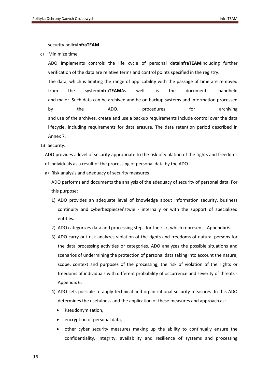security policy**infraTEAM**.

c) Minimize time

ADO implements controls the life cycle of personal data**infraTEAM**Including further verification of the data are relative terms and control points specified in the registry.

The data, which is limiting the range of applicability with the passage of time are removed from the system**infraTEAM**As well as the documents handheld and major. Such data can be archived and be on backup systems and information processed by the ADO. procedures for archiving and use of the archives, create and use a backup requirements include control over the data lifecycle, including requirements for data erasure. The data retention period described in Annex 7.

13. Security:

ADO provides a level of security appropriate to the risk of violation of the rights and freedoms of individuals as a result of the processing of personal data by the ADO.

a) Risk analysis and adequacy of security measures

ADO performs and documents the analysis of the adequacy of security of personal data. For this purpose:

- 1) ADO provides an adequate level of knowledge about information security, business continuity and cyberbezpieczeństwie - internally or with the support of specialized entities.
- 2) ADO categorizes data and processing steps for the risk, which represent Appendix 6.
- 3) ADO carry out risk analyzes violation of the rights and freedoms of natural persons for the data processing activities or categories. ADO analyzes the possible situations and scenarios of undermining the protection of personal data taking into account the nature, scope, context and purposes of the processing, the risk of violation of the rights or freedoms of individuals with different probability of occurrence and severity of threats - Appendix 6.
- 4) ADO sets possible to apply technical and organizational security measures. In this ADO determines the usefulness and the application of these measures and approach as:
	- Pseudonymisation,
	- encryption of personal data,
	- other cyber security measures making up the ability to continually ensure the confidentiality, integrity, availability and resilience of systems and processing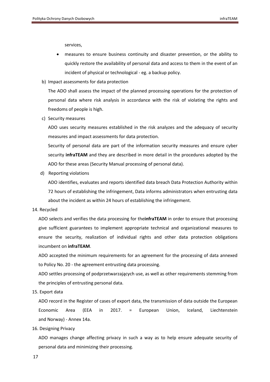services,

- measures to ensure business continuity and disaster prevention, or the ability to quickly restore the availability of personal data and access to them in the event of an incident of physical or technological - eg. a backup policy.
- b) Impact assessments for data protection

The ADO shall assess the impact of the planned processing operations for the protection of personal data where risk analysis in accordance with the risk of violating the rights and freedoms of people is high.

c) Security measures

ADO uses security measures established in the risk analyzes and the adequacy of security measures and impact assessments for data protection.

Security of personal data are part of the information security measures and ensure cyber security **infraTEAM** and they are described in more detail in the procedures adopted by the ADO for these areas (Security Manual processing of personal data).

d) Reporting violations

ADO identifies, evaluates and reports identified data breach Data Protection Authority within 72 hours of establishing the infringement, Data informs administrators when entrusting data about the incident as within 24 hours of establishing the infringement.

14. Recycled

ADO selects and verifies the data processing for the**infraTEAM** in order to ensure that processing give sufficient guarantees to implement appropriate technical and organizational measures to ensure the security, realization of individual rights and other data protection obligations incumbent on **infraTEAM**.

ADO accepted the minimum requirements for an agreement for the processing of data annexed to Policy No. 20 - the agreement entrusting data processing.

ADO settles processing of podprzetwarzających use, as well as other requirements stemming from the principles of entrusting personal data.

15. Export data

ADO record in the Register of cases of export data, the transmission of data outside the European Economic Area (EEA in 2017. = European Union, Iceland, Liechtenstein and Norway) - Annex 14a.

16. Designing Privacy

ADO manages change affecting privacy in such a way as to help ensure adequate security of personal data and minimizing their processing.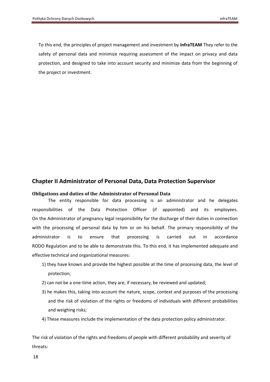To this end, the principles of project management and investment by **infraTEAM** They refer to the safety of personal data and minimize requiring assessment of the impact on privacy and data protection, and designed to take into account security and minimize data from the beginning of the project or investment.

# <span id="page-18-0"></span>**Chapter II Administrator of Personal Data, Data Protection Supervisor**

### <span id="page-18-1"></span>**Obligations and duties of the Administrator of Personal Data**

The entity responsible for data processing is an administrator and he delegates responsibilities of the Data Protection Officer (if appointed) and its employees. On the Administrator of pregnancy legal responsibility for the discharge of their duties in connection with the processing of personal data by him or on his behalf. The primary responsibility of the administrator is to ensure that processing is carried out in accordance RODO Regulation and to be able to demonstrate this. To this end, it has implemented adequate and effective technical and organizational measures:

- 1) they have known and provide the highest possible at the time of processing data, the level of protection;
- 2) can not be a one-time action, they are, if necessary, be reviewed and updated;
- 3) he makes this, taking into account the nature, scope, context and purposes of the processing and the risk of violation of the rights or freedoms of individuals with different probabilities and weighing risks;
- 4) These measures include the implementation of the data protection policy administrator.

The risk of violation of the rights and freedoms of people with different probability and severity of threats: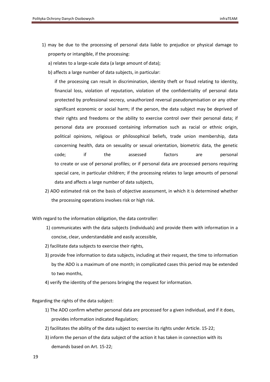- 1) may be due to the processing of personal data liable to prejudice or physical damage to property or intangible, if the processing:
	- a) relates to a large-scale data (a large amount of data);
	- b) affects a large number of data subjects, in particular:

if the processing can result in discrimination, identity theft or fraud relating to identity, financial loss, violation of reputation, violation of the confidentiality of personal data protected by professional secrecy, unauthorized reversal pseudonymisation or any other significant economic or social harm; if the person, the data subject may be deprived of their rights and freedoms or the ability to exercise control over their personal data; if personal data are processed containing information such as racial or ethnic origin, political opinions, religious or philosophical beliefs, trade union membership, data concerning health, data on sexuality or sexual orientation, biometric data, the genetic code; if the assessed factors are personal to create or use of personal profiles; or if personal data are processed persons requiring special care, in particular children; if the processing relates to large amounts of personal data and affects a large number of data subjects,

2) ADO estimated risk on the basis of objective assessment, in which it is determined whether the processing operations involves risk or high risk.

With regard to the information obligation, the data controller:

- 1) communicates with the data subjects (individuals) and provide them with information in a concise, clear, understandable and easily accessible,
- 2) facilitate data subjects to exercise their rights,
- 3) provide free information to data subjects, including at their request, the time to information by the ADO is a maximum of one month; in complicated cases this period may be extended to two months,
- 4) verify the identity of the persons bringing the request for information.

Regarding the rights of the data subject:

- 1) The ADO confirm whether personal data are processed for a given individual, and if it does, provides information indicated Regulation;
- 2) facilitates the ability of the data subject to exercise its rights under Article. 15-22;
- 3) inform the person of the data subject of the action it has taken in connection with its demands based on Art. 15-22;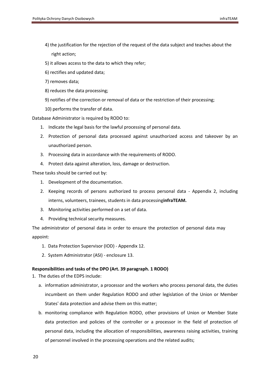- 4) the justification for the rejection of the request of the data subject and teaches about the right action;
- 5) it allows access to the data to which they refer;
- 6) rectifies and updated data;
- 7) removes data;
- 8) reduces the data processing;
- 9) notifies of the correction or removal of data or the restriction of their processing;
- 10) performs the transfer of data.

Database Administrator is required by RODO to:

- 1. Indicate the legal basis for the lawful processing of personal data.
- 2. Protection of personal data processed against unauthorized access and takeover by an unauthorized person.
- 3. Processing data in accordance with the requirements of RODO.
- 4. Protect data against alteration, loss, damage or destruction.

These tasks should be carried out by:

- 1. Development of the documentation.
- 2. Keeping records of persons authorized to process personal data Appendix 2, including interns, volunteers, trainees, students in data processing**infraTEAM.**
- 3. Monitoring activities performed on a set of data.
- 4. Providing technical security measures.

The administrator of personal data in order to ensure the protection of personal data may appoint:

- 1. Data Protection Supervisor (IOD) Appendix 12.
- 2. System Administrator (ASI) enclosure 13.

# <span id="page-20-0"></span>**Responsibilities and tasks of the DPO (Art. 39 paragraph. 1 RODO)**

1. The duties of the EDPS include:

- a. information administrator, a processor and the workers who process personal data, the duties incumbent on them under Regulation RODO and other legislation of the Union or Member States' data protection and advise them on this matter;
- b. monitoring compliance with Regulation RODO, other provisions of Union or Member State data protection and policies of the controller or a processor in the field of protection of personal data, including the allocation of responsibilities, awareness raising activities, training of personnel involved in the processing operations and the related audits;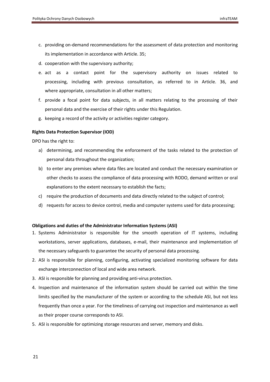- c. providing on-demand recommendations for the assessment of data protection and monitoring its implementation in accordance with Article. 35;
- d. cooperation with the supervisory authority;
- e. act as a contact point for the supervisory authority on issues related to processing, including with previous consultation, as referred to in Article. 36, and where appropriate, consultation in all other matters;
- f. provide a focal point for data subjects, in all matters relating to the processing of their personal data and the exercise of their rights under this Regulation.
- g. keeping a record of the activity or activities register category.

# <span id="page-21-0"></span>**Rights Data Protection Supervisor (IOD)**

DPO has the right to:

- a) determining, and recommending the enforcement of the tasks related to the protection of personal data throughout the organization;
- b) to enter any premises where data files are located and conduct the necessary examination or other checks to assess the compliance of data processing with RODO, demand written or oral explanations to the extent necessary to establish the facts;
- c) require the production of documents and data directly related to the subject of control;
- d) requests for access to device control, media and computer systems used for data processing;

# <span id="page-21-1"></span>**Obligations and duties of the Administrator Information Systems (ASI)**

- 1. Systems Administrator is responsible for the smooth operation of IT systems, including workstations, server applications, databases, e-mail, their maintenance and implementation of the necessary safeguards to guarantee the security of personal data processing.
- 2. ASI is responsible for planning, configuring, activating specialized monitoring software for data exchange interconnection of local and wide area network.
- 3. ASI is responsible for planning and providing anti-virus protection.
- 4. Inspection and maintenance of the information system should be carried out within the time limits specified by the manufacturer of the system or according to the schedule ASI, but not less frequently than once a year. For the timeliness of carrying out inspection and maintenance as well as their proper course corresponds to ASI.
- 5. ASI is responsible for optimizing storage resources and server, memory and disks.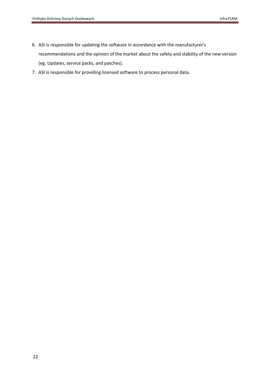- <span id="page-22-0"></span>6. ASI is responsible for updating the software in accordance with the manufacturer's recommendations and the opinion of the market about the safety and stability of the new version (eg. Updates, service packs, and patches).
- 7. ASI is responsible for providing licensed software to process personal data.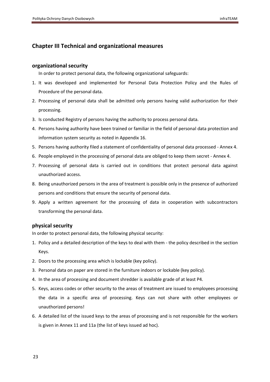# <span id="page-23-2"></span>**Chapter III Technical and organizational measures**

# <span id="page-23-0"></span>**organizational security**

In order to protect personal data, the following organizational safeguards:

- 1. It was developed and implemented for Personal Data Protection Policy and the Rules of Procedure of the personal data.
- 2. Processing of personal data shall be admitted only persons having valid authorization for their processing.
- 3. Is conducted Registry of persons having the authority to process personal data.
- 4. Persons having authority have been trained or familiar in the field of personal data protection and information system security as noted in Appendix 16.
- 5. Persons having authority filed a statement of confidentiality of personal data processed Annex 4.
- 6. People employed in the processing of personal data are obliged to keep them secret Annex 4.
- 7. Processing of personal data is carried out in conditions that protect personal data against unauthorized access.
- 8. Being unauthorized persons in the area of treatment is possible only in the presence of authorized persons and conditions that ensure the security of personal data.
- 9. Apply a written agreement for the processing of data in cooperation with subcontractors transforming the personal data.

# <span id="page-23-1"></span>**physical security**

In order to protect personal data, the following physical security:

- 1. Policy and a detailed description of the keys to deal with them the policy described in the section Keys.
- 2. Doors to the processing area which is lockable (key policy).
- 3. Personal data on paper are stored in the furniture indoors or lockable (key policy).
- 4. In the area of processing and document shredder is available grade of at least P4.
- 5. Keys, access codes or other security to the areas of treatment are issued to employees processing the data in a specific area of processing. Keys can not share with other employees or unauthorized persons!
- 6. A detailed list of the issued keys to the areas of processing and is not responsible for the workers is given in Annex 11 and 11a (the list of keys issued ad hoc).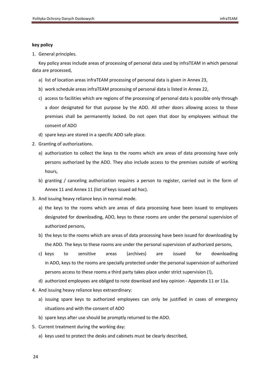### **key policy**

1. General principles.

Key policy areas include areas of processing of personal data used by infraTEAM in which personal data are processed,

- a) list of location areas infraTEAM processing of personal data is given in Annex 23,
- b) work schedule areas infraTEAM processing of personal data is listed in Annex 22,
- c) access to facilities which are regions of the processing of personal data is possible only through a door designated for that purpose by the ADO. All other doors allowing access to those premises shall be permanently locked. Do not open that door by employees without the consent of ADO
- d) spare keys are stored in a specific ADO safe place.
- 2. Granting of authorizations.
	- a) authorization to collect the keys to the rooms which are areas of data processing have only persons authorized by the ADO. They also include access to the premises outside of working hours,
	- b) granting / canceling authorization requires a person to register, carried out in the form of Annex 11 and Annex 11 (list of keys issued ad hoc).
- 3. And issuing heavy reliance keys in normal mode.
	- a) the keys to the rooms which are areas of data processing have been issued to employees designated for downloading, ADO, keys to these rooms are under the personal supervision of authorized persons,
	- b) the keys to the rooms which are areas of data processing have been issued for downloading by the ADO. The keys to these rooms are under the personal supervision of authorized persons,
	- c) keys to sensitive areas (archives) are issued for downloading in ADO, keys to the rooms are specially protected under the personal supervision of authorized persons access to these rooms a third party takes place under strict supervision (!),
	- d) authorized employees are obliged to note download and key opinion Appendix 11 or 11a.
- 4. And issuing heavy reliance keys extraordinary:
	- a) issuing spare keys to authorized employees can only be justified in cases of emergency situations and with the consent of ADO
	- b) spare keys after use should be promptly returned to the ADO.
- 5. Current treatment during the working day:
	- a) keys used to protect the desks and cabinets must be clearly described,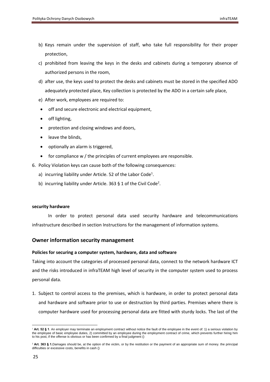- b) Keys remain under the supervision of staff, who take full responsibility for their proper protection,
- c) prohibited from leaving the keys in the desks and cabinets during a temporary absence of authorized persons in the room,
- d) after use, the keys used to protect the desks and cabinets must be stored in the specified ADO adequately protected place, Key collection is protected by the ADO in a certain safe place,
- e) After work, employees are required to:
- off and secure electronic and electrical equipment,
- off lighting,
- protection and closing windows and doors,
- leave the blinds,
- optionally an alarm is triggered,
- for compliance w / the principles of current employees are responsible.
- 6. Policy Violation keys can cause both of the following consequences:
	- a) incurring liability under Article. 52 of the Labor Code<sup>1</sup>.
	- b) incurring liability under Article. 363 § 1 of the Civil Code<sup>2</sup>.

### <span id="page-25-0"></span>**security hardware**

In order to protect personal data used security hardware and telecommunications infrastructure described in section Instructions for the management of information systems.

# <span id="page-25-1"></span>**Owner information security management**

# <span id="page-25-2"></span>**Policies for securing a computer system, hardware, data and software**

Taking into account the categories of processed personal data, connect to the network hardware ICT and the risks introduced in infraTEAM high level of security in the computer system used to process personal data.

1. Subject to control access to the premises, which is hardware, in order to protect personal data and hardware and software prior to use or destruction by third parties. Premises where there is computer hardware used for processing personal data are fitted with sturdy locks. The last of the

**<sup>.</sup>** <sup>1</sup> Art. 52 § 1. An employer may terminate an employment contract without notice the fault of the employee in the event of: 1) a serious violation by the employee of basic employee duties, 2) committed by an employee during the employment contract of crime, which prevents further hiring him to his post, if the offense is obvious or has been confirmed by a final judgment ()

<sup>&</sup>lt;sup>2</sup> Art. 363 § 1.Damages should be, at the option of the victim, or by the restitution or the payment of an appropriate sum of money. the principal difficulties or excessive costs, benefits in cash ()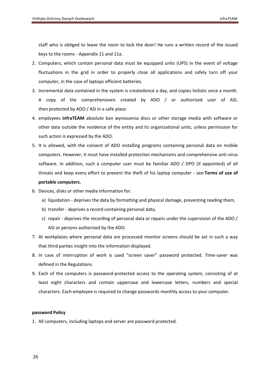staff who is obliged to leave the room to lock the door! He runs a written record of the issued keys to the rooms - Appendix 11 and 11a.

- 2. Computers, which contain personal data must be equipped units (UPS) in the event of voltage fluctuations in the grid in order to properly close all applications and safely turn off your computer, in the case of laptops efficient batteries.
- 3. Incremental data contained in the system is createdonce a day, and copies holistic once a month. A copy of the comprehensiveis created by ADO / or authorized user of ASI, then protected by ADO / ASI in a safe place.
- 4. employees **infraTEAM** absolute ban wynoszenia discs or other storage media with software or other data outside the residence of the entity and its organizational units, unless permission for such action is expressed by the ADO.
- 5. It is allowed, with the consent of ADO installing programs containing personal data on mobile computers. However, it must have installed protection mechanisms and comprehensive anti-virus software. In addition, such a computer user must be familiar ADO / DPO (if appointed) of all threats and keep every effort to prevent the theft of his laptop computer - see:**Terms of use of portable computers.**
- 6. Devices, disks or other media information for:
	- a) liquidation deprives the data by formatting and physical damage, preventing reading them,
	- b) transfer deprives a record containing personal data,
	- c) repair deprives the recording of personal data or repairs under the supervision of the ADO / ASI or persons authorized by the ADO.
- 7. At workplaces where personal data are processed monitor screens should be set in such a way that third parties insight into the information displayed.
- 8. In case of interruption of work is used "screen saver" password protected. Time-saver was defined in the Regulations.
- 9. Each of the computers is password-protected access to the operating system, consisting of at least eight characters and contain uppercase and lowercase letters, numbers and special characters. Each employee is required to change passwords monthly access to your computer.

### <span id="page-26-0"></span>**password Policy**

1. All computers, including laptops and server are password protected.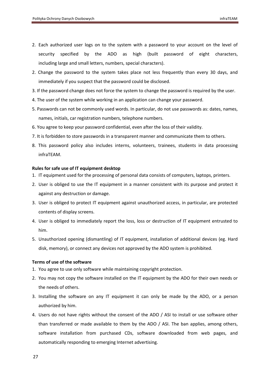- 2. Each authorized user logs on to the system with a password to your account on the level of security specified by the ADO as high (built password of eight characters, including large and small letters, numbers, special characters).
- 2. Change the password to the system takes place not less frequently than every 30 days, and immediately if you suspect that the password could be disclosed.
- 3. If the password change does not force the system to change the password is required by the user.
- 4. The user of the system while working in an application can change your password.
- 5. Passwords can not be commonly used words. In particular, do not use passwords as: dates, names, names, initials, car registration numbers, telephone numbers.
- 6. You agree to keep your password confidential, even after the loss of their validity.
- 7. It is forbidden to store passwords in a transparent manner and communicate them to others.
- 8. This password policy also includes interns, volunteers, trainees, students in data processing infraTEAM.

### <span id="page-27-0"></span>**Rules for safe use of IT equipment desktop**

- 1. IT equipment used for the processing of personal data consists of computers, laptops, printers.
- 2. User is obliged to use the IT equipment in a manner consistent with its purpose and protect it against any destruction or damage.
- 3. User is obliged to protect IT equipment against unauthorized access, in particular, are protected contents of display screens.
- 4. User is obliged to immediately report the loss, loss or destruction of IT equipment entrusted to him.
- 5. Unauthorized opening (dismantling) of IT equipment, installation of additional devices (eg. Hard disk, memory), or connect any devices not approved by the ADO system is prohibited.

### <span id="page-27-1"></span>**Terms of use of the software**

- 1. You agree to use only software while maintaining copyright protection.
- 2. You may not copy the software installed on the IT equipment by the ADO for their own needs or the needs of others.
- 3. Installing the software on any IT equipment it can only be made by the ADO, or a person authorized by him.
- 4. Users do not have rights without the consent of the ADO / ASI to install or use software other than transferred or made available to them by the ADO / ASI. The ban applies, among others, software installation from purchased CDs, software downloaded from web pages, and automatically responding to emerging Internet advertising.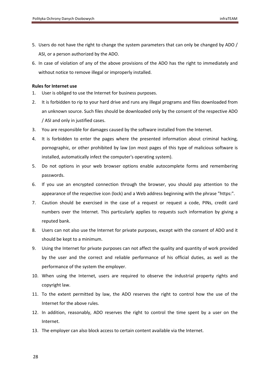- <span id="page-28-1"></span>5. Users do not have the right to change the system parameters that can only be changed by ADO / ASI, or a person authorized by the ADO.
- 6. In case of violation of any of the above provisions of the ADO has the right to immediately and without notice to remove illegal or improperly installed.

### <span id="page-28-0"></span>**Rules for Internet use**

- 1. User is obliged to use the Internet for business purposes.
- 2. It is forbidden to rip to your hard drive and runs any illegal programs and files downloaded from an unknown source. Such files should be downloaded only by the consent of the respective ADO / ASI and only in justified cases.
- 3. You are responsible for damages caused by the software installed from the Internet.
- 4. It is forbidden to enter the pages where the presented information about criminal hacking, pornographic, or other prohibited by law (on most pages of this type of malicious software is installed, automatically infect the computer's operating system).
- 5. Do not options in your web browser options enable autocomplete forms and remembering passwords.
- 6. If you use an encrypted connection through the browser, you should pay attention to the appearance of the respective icon (lock) and a Web address beginning with the phrase "https:".
- 7. Caution should be exercised in the case of a request or request a code, PINs, credit card numbers over the Internet. This particularly applies to requests such information by giving a reputed bank.
- 8. Users can not also use the Internet for private purposes, except with the consent of ADO and it should be kept to a minimum.
- 9. Using the Internet for private purposes can not affect the quality and quantity of work provided by the user and the correct and reliable performance of his official duties, as well as the performance of the system the employer.
- 10. When using the Internet, users are required to observe the industrial property rights and copyright law.
- 11. To the extent permitted by law, the ADO reserves the right to control how the use of the Internet for the above rules.
- 12. In addition, reasonably, ADO reserves the right to control the time spent by a user on the Internet.
- 13. The employer can also block access to certain content available via the Internet.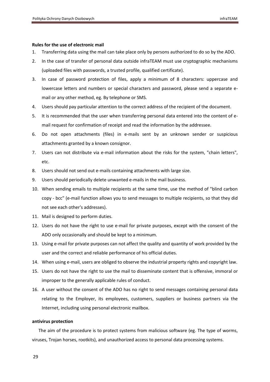#### **Rules for the use of electronic mail**

- 1. Transferring data using the mail can take place only by persons authorized to do so by the ADO.
- 2. In the case of transfer of personal data outside infraTEAM must use cryptographic mechanisms (uploaded files with passwords, a trusted profile, qualified certificate).
- 3. In case of password protection of files, apply a minimum of 8 characters: uppercase and lowercase letters and numbers or special characters and password, please send a separate email or any other method, eg. By telephone or SMS.
- 4. Users should pay particular attention to the correct address of the recipient of the document.
- 5. It is recommended that the user when transferring personal data entered into the content of email request for confirmation of receipt and read the information by the addressee.
- 6. Do not open attachments (files) in e-mails sent by an unknown sender or suspicious attachments granted by a known consignor.
- 7. Users can not distribute via e-mail information about the risks for the system, "chain letters", etc.
- 8. Users should not send out e-mails containing attachments with large size.
- 9. Users should periodically delete unwanted e-mails in the mail business.
- 10. When sending emails to multiple recipients at the same time, use the method of "blind carbon copy - bcc" (e-mail function allows you to send messages to multiple recipients, so that they did not see each other's addresses).
- 11. Mail is designed to perform duties.
- 12. Users do not have the right to use e-mail for private purposes, except with the consent of the ADO only occasionally and should be kept to a minimum.
- 13. Using e-mail for private purposes can not affect the quality and quantity of work provided by the user and the correct and reliable performance of his official duties.
- 14. When using e-mail, users are obliged to observe the industrial property rights and copyright law.
- 15. Users do not have the right to use the mail to disseminate content that is offensive, immoral or improper to the generally applicable rules of conduct.
- 16. A user without the consent of the ADO has no right to send messages containing personal data relating to the Employer, its employees, customers, suppliers or business partners via the Internet, including using personal electronic mailbox.

### <span id="page-29-0"></span>**antivirus protection**

The aim of the procedure is to protect systems from malicious software (eg. The type of worms, viruses, Trojan horses, rootkits), and unauthorized access to personal data processing systems.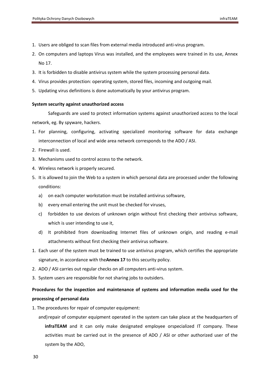- 1. Users are obliged to scan files from external media introduced anti-virus program.
- 2. On computers and laptops Virus was installed, and the employees were trained in its use, Annex No 17.
- 3. It is forbidden to disable antivirus system while the system processing personal data.
- 4. Virus provides protection: operating system, stored files, incoming and outgoing mail.
- 5. Updating virus definitions is done automatically by your antivirus program.

#### <span id="page-30-0"></span>**System security against unauthorized access**

Safeguards are used to protect information systems against unauthorized access to the local network, eg. By spyware, hackers.

- 1. For planning, configuring, activating specialized monitoring software for data exchange interconnection of local and wide area network corresponds to the ADO / ASI.
- 2. Firewall is used.
- 3. Mechanisms used to control access to the network.
- 4. Wireless network is properly secured.
- 5. It is allowed to join the Web to a system in which personal data are processed under the following conditions:
	- a) on each computer workstation must be installed antivirus software,
	- b) every email entering the unit must be checked for viruses,
	- c) forbidden to use devices of unknown origin without first checking their antivirus software, which is user intending to use it,
	- d) It prohibited from downloading Internet files of unknown origin, and reading e-mail attachments without first checking their antivirus software.
- 1. Each user of the system must be trained to use antivirus program, which certifies the appropriate signature, in accordance with the**Annex 17** to this security policy.
- 2. ADO / ASI carries out regular checks on all computers anti-virus system.
- 3. System users are responsible for not sharing jobs to outsiders.

# <span id="page-30-1"></span>**Procedures for the inspection and maintenance of systems and information media used for the processing of personal data**

- 1. The procedures for repair of computer equipment:
	- and) repair of computer equipment operated in the system can take place at the headquarters of **infraTEAM** and it can only make designated employee orspecialized IT company. These activities must be carried out in the presence of ADO / ASI or other authorized user of the system by the ADO,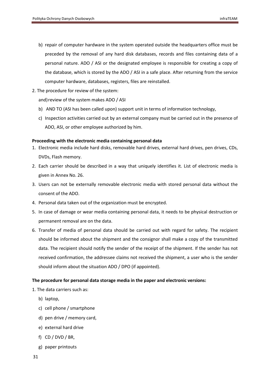- b) repair of computer hardware in the system operated outside the headquarters office must be preceded by the removal of any hard disk databases, records and files containing data of a personal nature. ADO / ASI or the designated employee is responsible for creating a copy of the database, which is stored by the ADO / ASI in a safe place. After returning from the service computer hardware, databases, registers, files are reinstalled.
- 2. The procedure for review of the system:

and) review of the system makes ADO / ASI

- b) AND TO (ASI has been called upon) support unit in terms of information technology,
- c) Inspection activities carried out by an external company must be carried out in the presence of ADO, ASI, or other employee authorized by him.

### <span id="page-31-0"></span>**Proceeding with the electronic media containing personal data**

- 1. Electronic media include hard disks, removable hard drives, external hard drives, pen drives, CDs, DVDs, Flash memory.
- 2. Each carrier should be described in a way that uniquely identifies it. List of electronic media is given in Annex No. 26.
- 3. Users can not be externally removable electronic media with stored personal data without the consent of the ADO.
- 4. Personal data taken out of the organization must be encrypted.
- 5. In case of damage or wear media containing personal data, it needs to be physical destruction or permanent removal are on the data.
- 6. Transfer of media of personal data should be carried out with regard for safety. The recipient should be informed about the shipment and the consignor shall make a copy of the transmitted data. The recipient should notify the sender of the receipt of the shipment. If the sender has not received confirmation, the addressee claims not received the shipment, a user who is the sender should inform about the situation ADO / DPO (if appointed).

# <span id="page-31-1"></span>**The procedure for personal data storage media in the paper and electronic versions:**

- 1. The data carriers such as:
	- b) laptop,
	- c) cell phone / smartphone
	- d) pen drive / memory card,
	- e) external hard drive
	- f) CD / DVD / BR,
	- g) paper printouts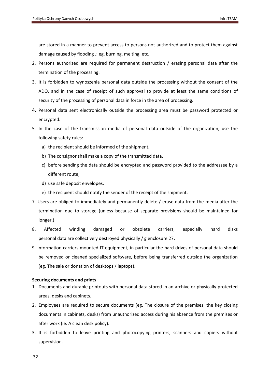are stored in a manner to prevent access to persons not authorized and to protect them against damage caused by flooding .: eg, burning, melting, etc.

- 2. Persons authorized are required for permanent destruction / erasing personal data after the termination of the processing.
- 3. It is forbidden to wynoszenia personal data outside the processing without the consent of the ADO, and in the case of receipt of such approval to provide at least the same conditions of security of the processing of personal data in force in the area of processing.
- 4. Personal data sent electronically outside the processing area must be password protected or encrypted.
- 5. In the case of the transmission media of personal data outside of the organization, use the following safety rules:
	- a) the recipient should be informed of the shipment,
	- b) The consignor shall make a copy of the transmitted data,
	- c) before sending the data should be encrypted and password provided to the addressee by a different route,
	- d) use safe deposit envelopes,
	- e) the recipient should notify the sender of the receipt of the shipment.
- 7. Users are obliged to immediately and permanently delete / erase data from the media after the termination due to storage (unless because of separate provisions should be maintained for longer.)
- 8. Affected winding damaged or obsolete carriers, especially hard disks personal data are collectively destroyed physically / g enclosure 27.
- 9. Information carriers mounted IT equipment, in particular the hard drives of personal data should be removed or cleaned specialized software, before being transferred outside the organization (eg. The sale or donation of desktops / laptops).

# <span id="page-32-0"></span>**Securing documents and prints**

- 1. Documents and durable printouts with personal data stored in an archive or physically protected areas, desks and cabinets.
- 2. Employees are required to secure documents (eg. The closure of the premises, the key closing documents in cabinets, desks) from unauthorized access during his absence from the premises or after work (ie. A clean desk policy).
- 3. It is forbidden to leave printing and photocopying printers, scanners and copiers without supervision.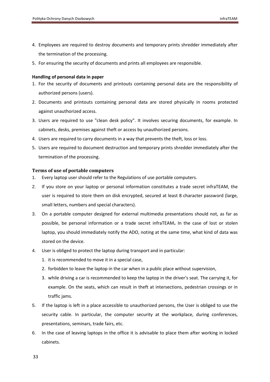- 4. Employees are required to destroy documents and temporary prints shredder immediately after the termination of the processing.
- 5. For ensuring the security of documents and prints all employees are responsible.

### <span id="page-33-0"></span>**Handling of personal data in paper**

- 1. For the security of documents and printouts containing personal data are the responsibility of authorized persons (users).
- 2. Documents and printouts containing personal data are stored physically in rooms protected against unauthorized access.
- 3. Users are required to use "clean desk policy". It involves securing documents, for example. In cabinets, desks, premises against theft or access by unauthorized persons.
- 4. Users are required to carry documents in a way that prevents the theft, loss or loss.
- 5. Users are required to document destruction and temporary prints shredder immediately after the termination of the processing.

# <span id="page-33-1"></span>**Terms of use of portable computers**

- 1. Every laptop user should refer to the Regulations of use portable computers.
- 2. If you store on your laptop or personal information constitutes a trade secret infraTEAM, the user is required to store them on disk encrypted, secured at least 8 character password (large, small letters, numbers and special characters).
- 3. On a portable computer designed for external multimedia presentations should not, as far as possible, be personal information or a trade secret infraTEAM. In the case of lost or stolen laptop, you should immediately notify the ADO, noting at the same time, what kind of data was stored on the device.
- 4. User is obliged to protect the laptop during transport and in particular:
	- 1. it is recommended to move it in a special case,
	- 2. forbidden to leave the laptop in the car when in a public place without supervision,
	- 3. while driving a car is recommended to keep the laptop in the driver's seat. The carrying it, for example. On the seats, which can result in theft at intersections, pedestrian crossings or in traffic jams.
- 5. If the laptop is left in a place accessible to unauthorized persons, the User is obliged to use the security cable. In particular, the computer security at the workplace, during conferences, presentations, seminars, trade fairs, etc.
- 6. In the case of leaving laptops in the office it is advisable to place them after working in locked cabinets.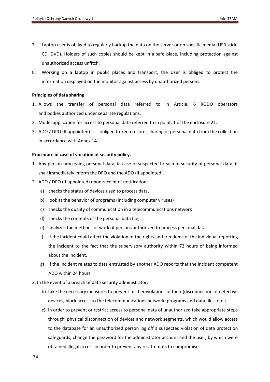- 7. Laptop user is obliged to regularly backup the data on the server or on specific media (USB stick, CD, DVD). Holders of such copies should be kept in a safe place, including protection against unauthorized access unfitch.
- 8. Working on a laptop in public places and transport, the User is obliged to protect the information displayed on the monitor against access by unauthorized persons.

### <span id="page-34-0"></span>**Principles of data sharing**

- 1. Allows the transfer of personal data referred to in Article. 6 RODO operators and bodies authorized under separate regulations.
- 2. Model application for access to personal data referred to in point. 1 of the enclosure 21.
- 3. ADO / DPO (If appointed) It is obliged to keep records sharing of personal data from the collection in accordance with Annex 14.

### <span id="page-34-1"></span>**Procedure in case of violation of security policy.**

- 1. Any person processing personal data, in case of suspected breach of security of personal data, it shall immediately inform the DPO and the ADO (if appointed).
- 2. ADO / DPO (If appointed) upon receipt of notification:
	- a) checks the status of devices used to process data,
	- b) look at the behavior of programs (including computer viruses)
	- c) checks the quality of communication in a telecommunications network
	- d) checks the contents of the personal data file,
	- e) analyzes the methods of work of persons authorized to process personal data.
	- f) if the incident could affect the violation of the rights and freedoms of the individual reporting the incident to the fact that the supervisory authority within 72 hours of being informed about the incident.
	- g) If the incident relates to data entrusted by another ADO reports that the incident competent ADO within 24 hours.
- 3. In the event of a breach of data security administrator:
	- b) take the necessary measures to prevent further violations of their (disconnection of defective devices, block access to the telecommunications network, programs and data files, etc.)
	- c) in order to prevent or restrict access to personal data of unauthorized take appropriate steps through: physical disconnection of devices and network segments, which would allow access to the database for an unauthorized person log off a suspected violation of data protection safeguards, change the password for the administrator account and the user, by which were obtained illegal access in order to prevent any re-attempts to compromise.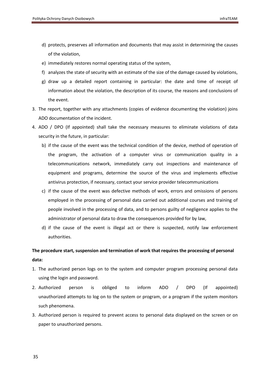- d) protects, preserves all information and documents that may assist in determining the causes of the violation,
- e) immediately restores normal operating status of the system,
- f) analyzes the state of security with an estimate of the size of the damage caused by violations,
- g) draw up a detailed report containing in particular: the date and time of receipt of information about the violation, the description of its course, the reasons and conclusions of the event.
- 3. The report, together with any attachments (copies of evidence documenting the violation) joins ADO documentation of the incident.
- 4. ADO / DPO (If appointed) shall take the necessary measures to eliminate violations of data security in the future, in particular:
	- b) if the cause of the event was the technical condition of the device, method of operation of the program, the activation of a computer virus or communication quality in a telecommunications network, immediately carry out inspections and maintenance of equipment and programs, determine the source of the virus and implements effective antivirus protection, if necessary, contact your service provider telecommunications
	- c) if the cause of the event was defective methods of work, errors and omissions of persons employed in the processing of personal data carried out additional courses and training of people involved in the processing of data, and to persons guilty of negligence applies to the administrator of personal data to draw the consequences provided for by law,
	- d) if the cause of the event is illegal act or there is suspected, notify law enforcement authorities.

# <span id="page-35-0"></span>**The procedure start, suspension and termination of work that requires the processing of personal data:**

- 1. The authorized person logs on to the system and computer program processing personal data using the login and password.
- 2. Authorized person is obliged to inform ADO / DPO (If appointed) unauthorized attempts to log on to the system or program, or a program if the system monitors such phenomena.
- 3. Authorized person is required to prevent access to personal data displayed on the screen or on paper to unauthorized persons.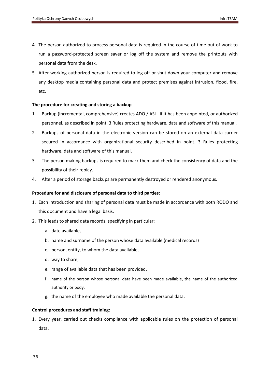- 4. The person authorized to process personal data is required in the course of time out of work to run a password-protected screen saver or log off the system and remove the printouts with personal data from the desk.
- 5. After working authorized person is required to log off or shut down your computer and remove any desktop media containing personal data and protect premises against intrusion, flood, fire, etc.

### <span id="page-36-0"></span>**The procedure for creating and storing a backup**

- 1. Backup (incremental, comprehensive) creates ADO / ASI if it has been appointed, or authorized personnel, as described in point. 3 Rules protecting hardware, data and software of this manual.
- 2. Backups of personal data in the electronic version can be stored on an external data carrier secured in accordance with organizational security described in point. 3 Rules protecting hardware, data and software of this manual.
- 3. The person making backups is required to mark them and check the consistency of data and the possibility of their replay.
- 4. After a period of storage backups are permanently destroyed or rendered anonymous.

### <span id="page-36-1"></span>**Procedure for and disclosure of personal data to third parties:**

- 1. Each introduction and sharing of personal data must be made in accordance with both RODO and this document and have a legal basis.
- 2. This leads to shared data records, specifying in particular:
	- a. date available,
	- b. name and surname of the person whose data available (medical records)
	- c. person, entity, to whom the data available,
	- d. way to share,
	- e. range of available data that has been provided,
	- f. name of the person whose personal data have been made available, the name of the authorized authority or body,
	- g. the name of the employee who made available the personal data.

### <span id="page-36-2"></span>**Control procedures and staff training:**

1. Every year, carried out checks compliance with applicable rules on the protection of personal data.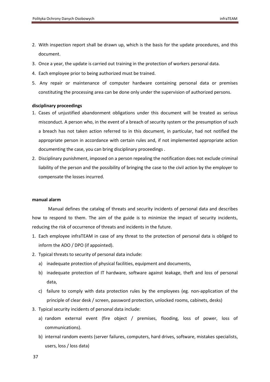- 2. With inspection report shall be drawn up, which is the basis for the update procedures, and this document.
- 3. Once a year, the update is carried out training in the protection of workers personal data.
- 4. Each employee prior to being authorized must be trained.
- 5. Any repair or maintenance of computer hardware containing personal data or premises constituting the processing area can be done only under the supervision of authorized persons.

### <span id="page-37-0"></span>**disciplinary proceedings**

- 1. Cases of unjustified abandonment obligations under this document will be treated as serious misconduct. A person who, in the event of a breach of security system or the presumption of such a breach has not taken action referred to in this document, in particular, had not notified the appropriate person in accordance with certain rules and, if not implemented appropriate action documenting the case, you can bring disciplinary proceedings .
- 2. Disciplinary punishment, imposed on a person repealing the notification does not exclude criminal liability of the person and the possibility of bringing the case to the civil action by the employer to compensate the losses incurred.

#### <span id="page-37-1"></span>**manual alarm**

Manual defines the catalog of threats and security incidents of personal data and describes how to respond to them. The aim of the guide is to minimize the impact of security incidents, reducing the risk of occurrence of threats and incidents in the future.

- 1. Each employee infraTEAM in case of any threat to the protection of personal data is obliged to inform the ADO / DPO (if appointed).
- 2. Typical threats to security of personal data include:
	- a) inadequate protection of physical facilities, equipment and documents,
	- b) inadequate protection of IT hardware, software against leakage, theft and loss of personal data,
	- c) failure to comply with data protection rules by the employees (eg. non-application of the principle of clear desk / screen, password protection, unlocked rooms, cabinets, desks)
- 3. Typical security incidents of personal data include:
	- a) random external event (fire object / premises, flooding, loss of power, loss of communications).
	- b) internal random events (server failures, computers, hard drives, software, mistakes specialists, users, loss / loss data)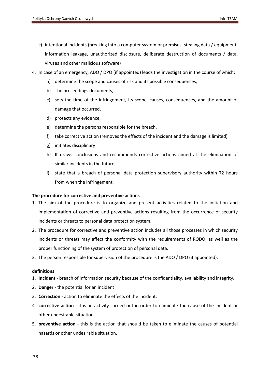- c) intentional incidents (breaking into a computer system or premises, stealing data / equipment, information leakage, unauthorized disclosure, deliberate destruction of documents / data, viruses and other malicious software)
- 4. In case of an emergency, ADO / DPO (if appointed) leads the investigation in the course of which:
	- a) determine the scope and causes of risk and its possible consequences,
	- b) The proceedings documents,
	- c) sets the time of the infringement, its scope, causes, consequences, and the amount of damage that occurred,
	- d) protects any evidence,
	- e) determine the persons responsible for the breach,
	- f) take corrective action (removes the effects of the incident and the damage is limited)
	- g) initiates disciplinary
	- h) It draws conclusions and recommends corrective actions aimed at the elimination of similar incidents in the future,
	- i) state that a breach of personal data protection supervisory authority within 72 hours from when the infringement.

# <span id="page-38-0"></span>**The procedure for corrective and preventive actions**

- 1. The aim of the procedure is to organize and present activities related to the initiation and implementation of corrective and preventive actions resulting from the occurrence of security incidents or threats to personal data protection system.
- 2. The procedure for corrective and preventive action includes all those processes in which security incidents or threats may affect the conformity with the requirements of RODO, as well as the proper functioning of the system of protection of personal data.
- 3. The person responsible for supervision of the procedure is the ADO / DPO (if appointed).

# <span id="page-38-1"></span>**definitions**

- 1. **Incident** breach of information security because of the confidentiality, availability and integrity.
- 2. **Danger** the potential for an incident
- 3. **Correction** action to eliminate the effects of the incident.
- 4. **corrective action** it is an activity carried out in order to eliminate the cause of the incident or other undesirable situation.
- 5. **preventive action** this is the action that should be taken to eliminate the causes of potential hazards or other undesirable situation.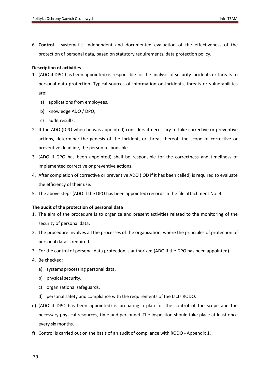6. **Control** - systematic, independent and documented evaluation of the effectiveness of the protection of personal data, based on statutory requirements, data protection policy.

# <span id="page-39-0"></span>**Description of activities**

- 1. (ADO if DPO has been appointed) is responsible for the analysis of security incidents or threats to personal data protection. Typical sources of information on incidents, threats or vulnerabilities are:
	- a) applications from employees,
	- b) knowledge ADO / DPO,
	- c) audit results.
- 2. If the ADO (DPO when he was appointed) considers it necessary to take corrective or preventive actions, determine: the genesis of the incident, or threat thereof, the scope of corrective or preventive deadline, the person responsible.
- 3. (ADO if DPO has been appointed) shall be responsible for the correctness and timeliness of implemented corrective or preventive actions.
- 4. After completion of corrective or preventive ADO (IOD if it has been called) is required to evaluate the efficiency of their use.
- 5. The above steps (ADO if the DPO has been appointed) records in the file attachment No. 9.

# <span id="page-39-1"></span>**The audit of the protection of personal data**

- 1. The aim of the procedure is to organize and present activities related to the monitoring of the security of personal data.
- 2. The procedure involves all the processes of the organization, where the principles of protection of personal data is required.
- 3. For the control of personal data protection is authorized (ADO if the DPO has been appointed).
- 4. Be checked:
	- a) systems processing personal data,
	- b) physical security,
	- c) organizational safeguards,
	- d) personal safety and compliance with the requirements of the facts RODO.
- e) (ADO if DPO has been appointed) is preparing a plan for the control of the scope and the necessary physical resources, time and personnel. The inspection should take place at least once every six months.
- f) Control is carried out on the basis of an audit of compliance with RODO Appendix 1.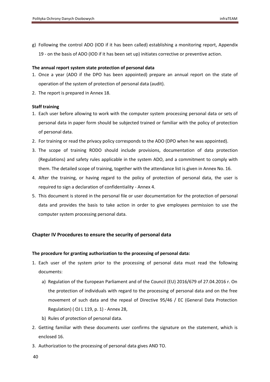g) Following the control ADO (IOD if it has been called) establishing a monitoring report, Appendix 19 - on the basis of ADO (IOD if it has been set up) initiates corrective or preventive action.

### <span id="page-40-0"></span>**The annual report system state protection of personal data**

- 1. Once a year (ADO if the DPO has been appointed) prepare an annual report on the state of operation of the system of protection of personal data (audit).
- 2. The report is prepared in Annex 18.

### <span id="page-40-1"></span>**Staff training**

- 1. Each user before allowing to work with the computer system processing personal data or sets of personal data in paper form should be subjected trained or familiar with the policy of protection of personal data.
- 2. For training or read the privacy policy corresponds to the ADO (DPO when he was appointed).
- 3. The scope of training RODO should include provisions, documentation of data protection (Regulations) and safety rules applicable in the system ADO, and a commitment to comply with them. The detailed scope of training, together with the attendance list is given in Annex No. 16.
- 4. After the training, or having regard to the policy of protection of personal data, the user is required to sign a declaration of confidentiality - Annex 4.
- 5. This document is stored in the personal file or user documentation for the protection of personal data and provides the basis to take action in order to give employees permission to use the computer system processing personal data.

# <span id="page-40-2"></span>**Chapter IV Procedures to ensure the security of personal data**

### <span id="page-40-3"></span>**The procedure for granting authorization to the processing of personal data:**

- 1. Each user of the system prior to the processing of personal data must read the following documents:
	- a) Regulation of the European Parliament and of the Council (EU) 2016/679 of 27.04.2016 r. On the protection of individuals with regard to the processing of personal data and on the free movement of such data and the repeal of Directive 95/46 / EC (General Data Protection Regulation) ( OJ L 119, p. 1) - Annex 28,
	- b) Rules of protection of personal data.
- 2. Getting familiar with these documents user confirms the signature on the statement, which is enclosed 16.
- 3. Authorization to the processing of personal data gives AND TO.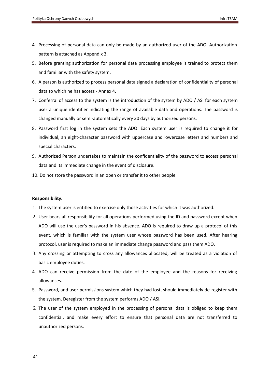- <span id="page-41-1"></span>4. Processing of personal data can only be made by an authorized user of the ADO. Authorization pattern is attached as Appendix 3.
- 5. Before granting authorization for personal data processing employee is trained to protect them and familiar with the safety system.
- 6. A person is authorized to process personal data signed a declaration of confidentiality of personal data to which he has access - Annex 4.
- 7. Conferral of access to the system is the introduction of the system by ADO / ASI for each system user a unique identifier indicating the range of available data and operations. The password is changed manually or semi-automatically every 30 days by authorized persons.
- 8. Password first log in the system sets the ADO. Each system user is required to change it for individual, an eight-character password with uppercase and lowercase letters and numbers and special characters.
- 9. Authorized Person undertakes to maintain the confidentiality of the password to access personal data and its immediate change in the event of disclosure.
- 10. Do not store the password in an open or transfer it to other people.

#### <span id="page-41-0"></span>**Responsibility.**

- 1. The system user is entitled to exercise only those activities for which it was authorized.
- 2. User bears all responsibility for all operations performed using the ID and password except when ADO will use the user's password in his absence. ADO is required to draw up a protocol of this event, which is familiar with the system user whose password has been used. After hearing protocol, user is required to make an immediate change password and pass them ADO.
- 3. Any crossing or attempting to cross any allowances allocated, will be treated as a violation of basic employee duties.
- 4. ADO can receive permission from the date of the employee and the reasons for receiving allowances.
- 5. Password, and user permissions system which they had lost, should immediately de-register with the system. Deregister from the system performs ADO / ASI.
- 6. The user of the system employed in the processing of personal data is obliged to keep them confidential, and make every effort to ensure that personal data are not transferred to unauthorized persons.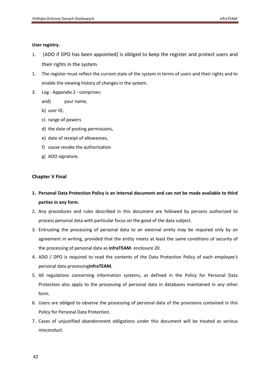### **User registry.**

- 1. (ADO if DPO has been appointed) is obliged to keep the register and protect users and their rights in the system.
- 1. The register must reflect the current state of the system in terms of users and their rights and to enable the viewing history of changes in the system.
- 3. Log Appendix 2 comprises:
	- and) your name,
	- b) user ID,
	- c) range of powers
	- d) the date of posting permissions,
	- e) date of receipt of allowances,
	- f) cause revoke the authorization
	- g) ADO signature.

# <span id="page-42-0"></span>**Chapter V Final**

- **1. Personal Data Protection Policy is an internal document and can not be made available to third parties in any form.**
- 2. Any procedures and rules described in this document are followed by persons authorized to process personal data with particular focus on the good of the data subject.
- 3. Entrusting the processing of personal data to an external entity may be required only by an agreement in writing, provided that the entity meets at least the same conditions of security of the processing of personal data as **infraTEAM**- enclosure 20.
- 4. ADO / DPO is required to read the contents of the Data Protection Policy of each employee's personal data processing**infraTEAM.**
- 5. All regulations concerning information systems, as defined in the Policy for Personal Data Protection also apply to the processing of personal data in databases maintained in any other form.
- 6. Users are obliged to observe the processing of personal data of the provisions contained in this Policy for Personal Data Protection.
- 7. Cases of unjustified abandonment obligations under this document will be treated as serious misconduct.